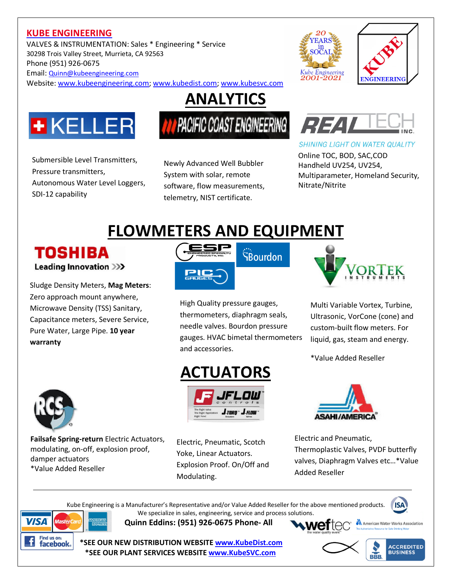#### **KUBE ENGINEERING**

VALVES & INSTRUMENTATION: Sales \* Engineering \* Service 30298 Trois Valley Street, Murrieta, CA 92563 Phone (951) 926-0675 Email: [Quinn@kubeengineering.com](mailto:Quinn@kubeengineering.com)

Website[: www.kubeengineering.com;](http://www.kubeengineering.com/) [www.kubedist.com;](http://www.kubedist.com/) www.kubesvc.com





Submersible Level Transmitters, Pressure transmitters, Autonomous Water Level Loggers, SDI-12 capability

Newly Advanced Well Bubbler System with solar, remote software, flow measurements, telemetry, NIST certificate.







**SHINING LIGHT ON WATER QUALITY** 

Online TOC, BOD, SAC,COD Handheld UV254, UV254, Multiparameter, Homeland Security, Nitrate/Nitrite

### **FLOWMETERS AND EQUIPMENT**

### TOSHIBA Leading Innovation >>>

Sludge Density Meters, **Mag Meters**: Zero approach mount anywhere, Microwave Density (TSS) Sanitary, Capacitance meters, Severe Service, Pure Water, Large Pipe. **10 year warranty**



High Quality pressure gauges, thermometers, diaphragm seals, needle valves. Bourdon pressure gauges. HVAC bimetal thermometers and accessories.



Multi Variable Vortex, Turbine, Ultrasonic, VorCone (cone) and custom-built flow meters. For liquid, gas, steam and energy.

\*Value Added Reseller



**Failsafe Spring-return** Electric Actuators, modulating, on-off, explosion proof, damper actuators \*Value Added Reseller



**ACTUATORS**

Electric, Pneumatic, Scotch Yoke, Linear Actuators. Explosion Proof. On/Off and Modulating.



Electric and Pneumatic, Thermoplastic Valves, PVDF butterfly valves, Diaphragm Valves etc…\*Value Added Reseller

Kube Engineering is a Manufacturer's Representative and/or Value Added Reseller for the above mentioned products. **ISA** We specialize in sales, engineering, service and process solutions.



**Quinn Eddins: (951) 926-0675 Phone- All**





**\*SEE OUR NEW DISTRIBUTION WEBSITE [www.KubeDist.com](http://www.kubedist.com/) \*SEE OUR PLANT SERVICES WEBSITE [www.KubeSVC.com](http://www.kubesvc.com/)**